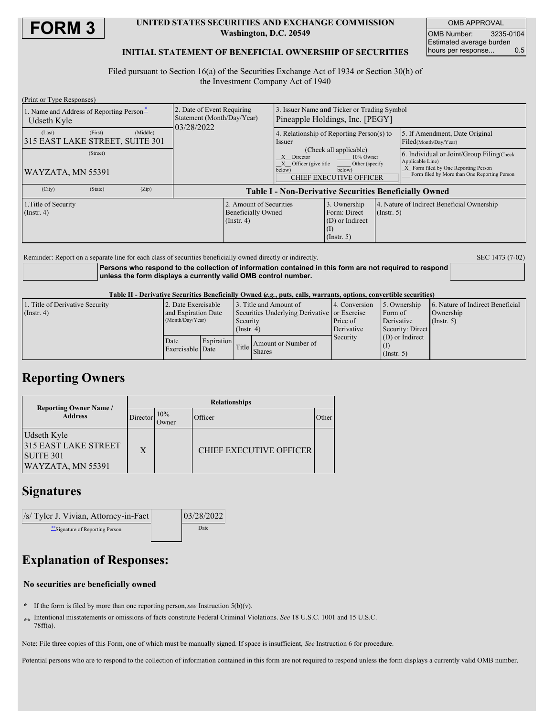

### **UNITED STATES SECURITIES AND EXCHANGE COMMISSION Washington, D.C. 20549**

OMB APPROVAL OMB Number: 3235-0104 Estimated average burden hours per response... 0.5

### **INITIAL STATEMENT OF BENEFICIAL OWNERSHIP OF SECURITIES**

Filed pursuant to Section 16(a) of the Securities Exchange Act of 1934 or Section 30(h) of the Investment Company Act of 1940

| (Print or Type Responses)                               |         |          |                                                                        |                                                                          |                                                                                                                                                |                                                                                     |                  |                                                                                                                                                       |
|---------------------------------------------------------|---------|----------|------------------------------------------------------------------------|--------------------------------------------------------------------------|------------------------------------------------------------------------------------------------------------------------------------------------|-------------------------------------------------------------------------------------|------------------|-------------------------------------------------------------------------------------------------------------------------------------------------------|
| 1. Name and Address of Reporting Person-<br>Udseth Kyle |         |          | 2. Date of Event Requiring<br>Statement (Month/Day/Year)<br>03/28/2022 |                                                                          | 3. Issuer Name and Ticker or Trading Symbol<br>Pineapple Holdings, Inc. [PEGY]                                                                 |                                                                                     |                  |                                                                                                                                                       |
| (Last)<br>315 EAST LAKE STREET, SUITE 301               | (First) | (Middle) |                                                                        |                                                                          | <i>ssuer</i>                                                                                                                                   | 4. Relationship of Reporting Person(s) to                                           |                  | 5. If Amendment, Date Original<br>Filed(Month/Day/Year)                                                                                               |
| (Street)<br>WAYZATA, MN 55391                           |         |          |                                                                        |                                                                          | (Check all applicable)<br>Director<br>10% Owner<br>Officer (give title<br>Other (specify<br>below)<br>below)<br><b>CHIEF EXECUTIVE OFFICER</b> |                                                                                     |                  | 6. Individual or Joint/Group Filing Check<br>Applicable Line)<br>X Form filed by One Reporting Person<br>Form filed by More than One Reporting Person |
| (City)                                                  | (State) | (Zip)    | <b>Table I - Non-Derivative Securities Beneficially Owned</b>          |                                                                          |                                                                                                                                                |                                                                                     |                  |                                                                                                                                                       |
| 1. Title of Security<br>(Insert, 4)                     |         |          |                                                                        | 2. Amount of Securities<br><b>Beneficially Owned</b><br>$($ Instr. 4 $)$ |                                                                                                                                                | 3. Ownership<br>Form: Direct<br>(D) or Indirect<br>$\rm _{(1)}$<br>$($ Instr. 5 $)$ | $($ Instr. 5 $)$ | 4. Nature of Indirect Beneficial Ownership                                                                                                            |

Reminder: Report on a separate line for each class of securities beneficially owned directly or indirectly. SEC 1473 (7-02)

**Persons who respond to the collection of information contained in this form are not required to respond unless the form displays a currently valid OMB control number.**

#### Table II - Derivative Securities Beneficially Owned (e.g., puts, calls, warrants, options, convertible securities)

| 1. Title of Derivative Security | 2. Date Exercisable      |            | 3. Title and Amount of                       |                     | 4. Conversion | 5. Ownership      | 6. Nature of Indirect Beneficial |
|---------------------------------|--------------------------|------------|----------------------------------------------|---------------------|---------------|-------------------|----------------------------------|
| $($ Instr. 4 $)$                | and Expiration Date      |            | Securities Underlying Derivative or Exercise |                     |               | Form of           | Ownership                        |
|                                 | (Month/Day/Year)         |            | Security                                     |                     | Price of      | Derivative        | $($ Instr. 5 $)$                 |
|                                 |                          |            | $($ Instr. 4 $)$                             |                     | Derivative    | Security: Direct  |                                  |
|                                 | Date<br>Exercisable Date | Expiration | Title Shares                                 | Amount or Number of | Security      | $(D)$ or Indirect |                                  |
|                                 |                          |            |                                              |                     |               |                   |                                  |
|                                 |                          |            |                                              |                     |               | (Insert, 5)       |                                  |

### **Reporting Owners**

|                                                                                     | <b>Relationships</b> |              |                                |       |  |  |  |
|-------------------------------------------------------------------------------------|----------------------|--------------|--------------------------------|-------|--|--|--|
| <b>Reporting Owner Name /</b><br><b>Address</b>                                     | Director             | 10%<br>Jwner | Officer                        | Other |  |  |  |
| Udseth Kyle<br><b>315 EAST LAKE STREET</b><br><b>SUITE 301</b><br>WAYZATA, MN 55391 | X                    |              | <b>CHIEF EXECUTIVE OFFICER</b> |       |  |  |  |

## **Signatures**

| /s/ Tyler J. Vivian, Attorney-in-Fact | 03/28/2022 |  |
|---------------------------------------|------------|--|
| ** Signature of Reporting Person      | Date       |  |

# **Explanation of Responses:**

### **No securities are beneficially owned**

- **\*** If the form is filed by more than one reporting person,*see* Instruction 5(b)(v).
- **\*\*** Intentional misstatements or omissions of facts constitute Federal Criminal Violations. *See* 18 U.S.C. 1001 and 15 U.S.C. 78ff(a).

Note: File three copies of this Form, one of which must be manually signed. If space is insufficient, *See* Instruction 6 for procedure.

Potential persons who are to respond to the collection of information contained in this form are not required to respond unless the form displays a currently valid OMB number.